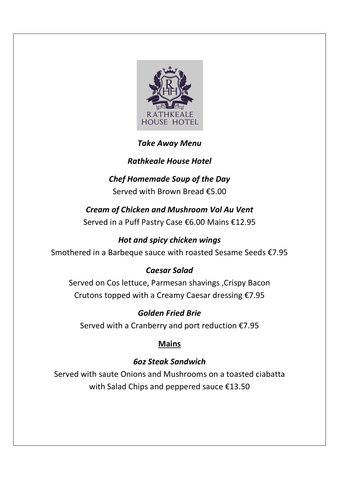

#### Take Away Menu

### Rathkeale House Hotel

# Chef Homemade Soup of the Day

Served with Brown Bread €5.00

Cream of Chicken and Mushroom Vol Au Vent Served in a Puff Pastry Case €6.00 Mains €12.95

### Hot and spicy chicken wings

Smothered in a Barbeque sauce with roasted Sesame Seeds €7.95

#### Caesar Salad

Served on Cos lettuce, Parmesan shavings ,Crispy Bacon Crutons topped with a Creamy Caesar dressing €7.95

Golden Fried Brie Served with a Cranberry and port reduction  $£7.95$ 

## Mains

## 6oz Steak Sandwich

Served with saute Onions and Mushrooms on a toasted ciabatta with Salad Chips and peppered sauce €13.50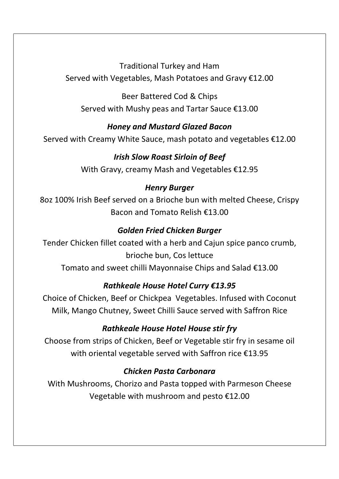Traditional Turkey and Ham Served with Vegetables, Mash Potatoes and Gravy €12.00

Beer Battered Cod & Chips Served with Mushy peas and Tartar Sauce €13.00

#### Honey and Mustard Glazed Bacon

Served with Creamy White Sauce, mash potato and vegetables €12.00

#### Irish Slow Roast Sirloin of Beef

With Gravy, creamy Mash and Vegetables €12.95

### Henry Burger

8oz 100% Irish Beef served on a Brioche bun with melted Cheese, Crispy Bacon and Tomato Relish €13.00

## Golden Fried Chicken Burger

Tender Chicken fillet coated with a herb and Cajun spice panco crumb, brioche bun, Cos lettuce

Tomato and sweet chilli Mayonnaise Chips and Salad €13.00

# Rathkeale House Hotel Curry €13.95

Choice of Chicken, Beef or Chickpea Vegetables. Infused with Coconut Milk, Mango Chutney, Sweet Chilli Sauce served with Saffron Rice

## Rathkeale House Hotel House stir fry

Choose from strips of Chicken, Beef or Vegetable stir fry in sesame oil with oriental vegetable served with Saffron rice €13.95

## Chicken Pasta Carbonara

With Mushrooms, Chorizo and Pasta topped with Parmeson Cheese Vegetable with mushroom and pesto €12.00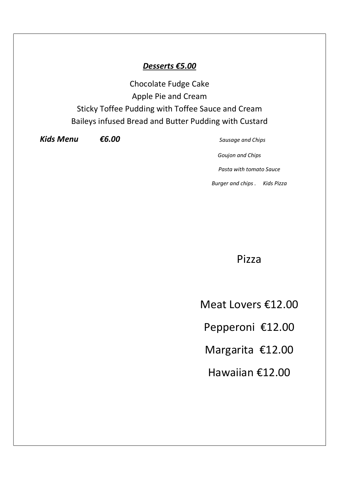#### Desserts €5.00

Chocolate Fudge Cake Apple Pie and Cream Sticky Toffee Pudding with Toffee Sauce and Cream Baileys infused Bread and Butter Pudding with Custard

 $Kids$  **Menu**  $66.00$  Sausage and Chips

Goujon and Chips Pasta with tomato Sauce Burger and chips . Kids Pizza

Pizza

Meat Lovers €12.00

Pepperoni €12.00

Margarita €12.00

Hawaiian €12.00